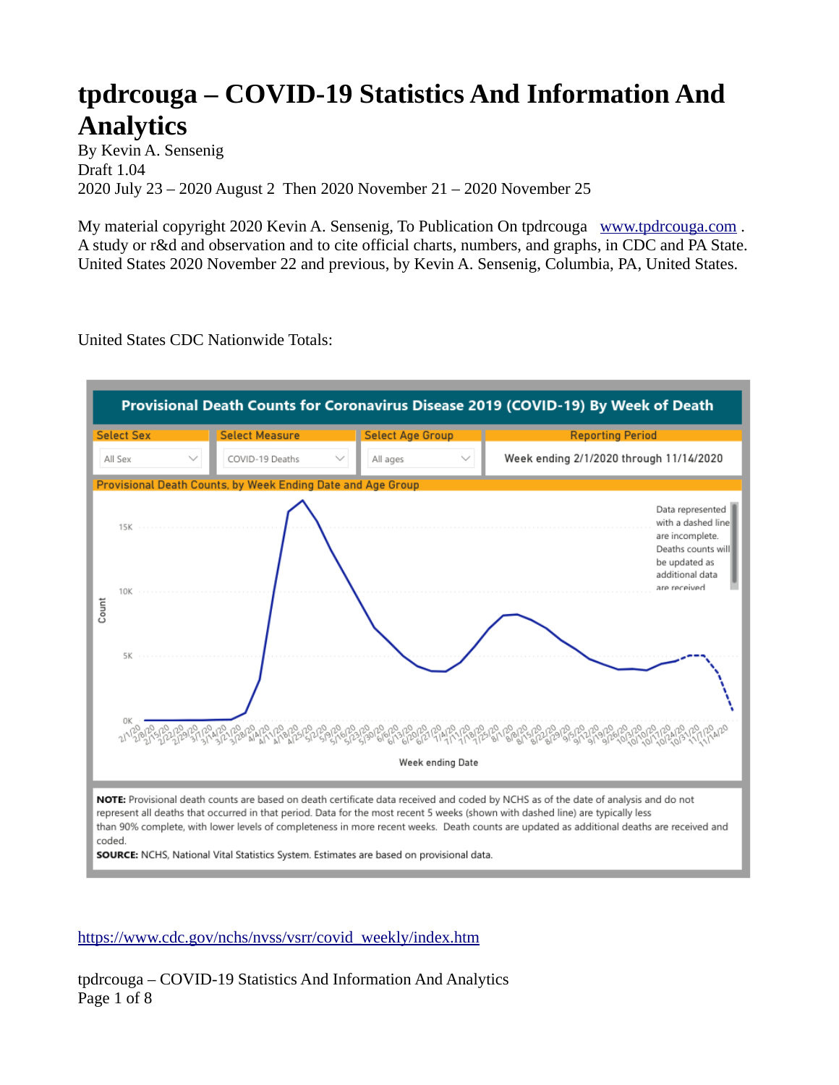## **tpdrcouga – COVID-19 Statistics And Information And Analytics**

By Kevin A. Sensenig Draft 1.04 2020 July 23 – 2020 August 2 Then 2020 November 21 – 2020 November 25

My material copyright 2020 Kevin A. Sensenig, To Publication On tpdrcouga [www.tpdrcouga.com](http://www.tpdrcouga.com/) . A study or r&d and observation and to cite official charts, numbers, and graphs, in CDC and PA State. United States 2020 November 22 and previous, by Kevin A. Sensenig, Columbia, PA, United States.

United States CDC Nationwide Totals:



[https://www.cdc.gov/nchs/nvss/vsrr/covid\\_weekly/index.htm](https://www.cdc.gov/nchs/nvss/vsrr/covid_weekly/index.htm)

tpdrcouga – COVID-19 Statistics And Information And Analytics Page 1 of 8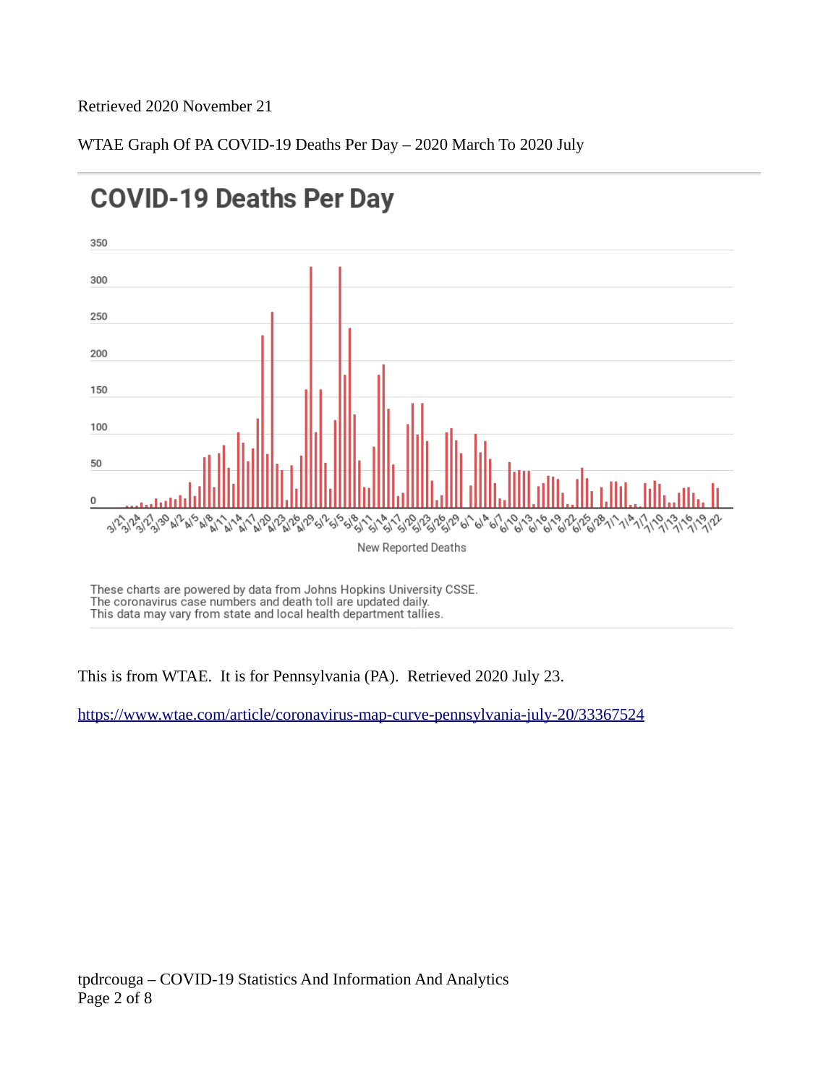#### Retrieved 2020 November 21

WTAE Graph Of PA COVID-19 Deaths Per Day – 2020 March To 2020 July



# **COVID-19 Deaths Per Day**

These charts are powered by data from Johns Hopkins University CSSE. The coronavirus case numbers and death toll are updated daily. This data may vary from state and local health department tallies.

This is from WTAE. It is for Pennsylvania (PA). Retrieved 2020 July 23.

<https://www.wtae.com/article/coronavirus-map-curve-pennsylvania-july-20/33367524>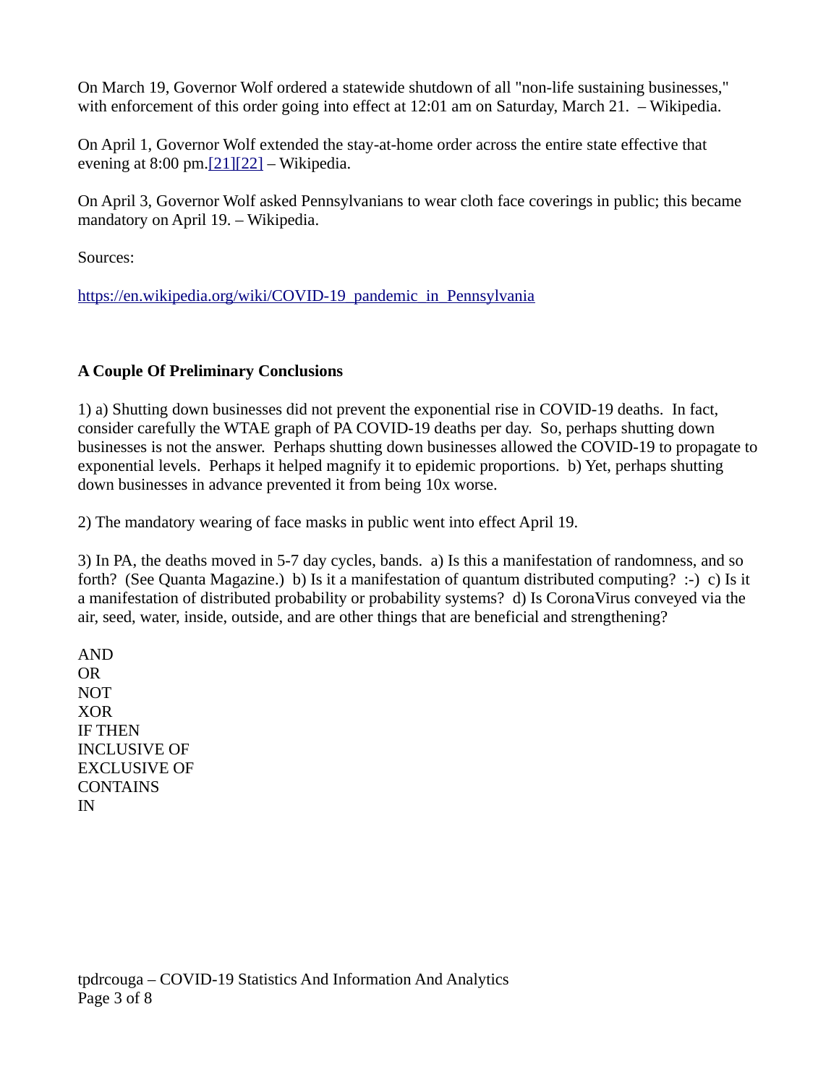On March 19, Governor Wolf ordered a statewide shutdown of all "non-life sustaining businesses," with enforcement of this order going into effect at 12:01 am on Saturday, March 21. – Wikipedia.

On April 1, Governor Wolf extended the stay-at-home order across the entire state effective that evening at  $8:00 \text{ pm}$ .  $[21][22]$  – Wikipedia.

On April 3, Governor Wolf asked Pennsylvanians to wear cloth face coverings in public; this became mandatory on April 19. – Wikipedia.

Sources:

[https://en.wikipedia.org/wiki/COVID-19\\_pandemic\\_in\\_Pennsylvania](https://en.wikipedia.org/wiki/COVID-19_pandemic_in_Pennsylvania)

## **A Couple Of Preliminary Conclusions**

1) a) Shutting down businesses did not prevent the exponential rise in COVID-19 deaths. In fact, consider carefully the WTAE graph of PA COVID-19 deaths per day. So, perhaps shutting down businesses is not the answer. Perhaps shutting down businesses allowed the COVID-19 to propagate to exponential levels. Perhaps it helped magnify it to epidemic proportions. b) Yet, perhaps shutting down businesses in advance prevented it from being 10x worse.

2) The mandatory wearing of face masks in public went into effect April 19.

3) In PA, the deaths moved in 5-7 day cycles, bands. a) Is this a manifestation of randomness, and so forth? (See Quanta Magazine.) b) Is it a manifestation of quantum distributed computing? :-) c) Is it a manifestation of distributed probability or probability systems? d) Is CoronaVirus conveyed via the air, seed, water, inside, outside, and are other things that are beneficial and strengthening?

AND OR NOT XOR IF THEN INCLUSIVE OF EXCLUSIVE OF **CONTAINS** IN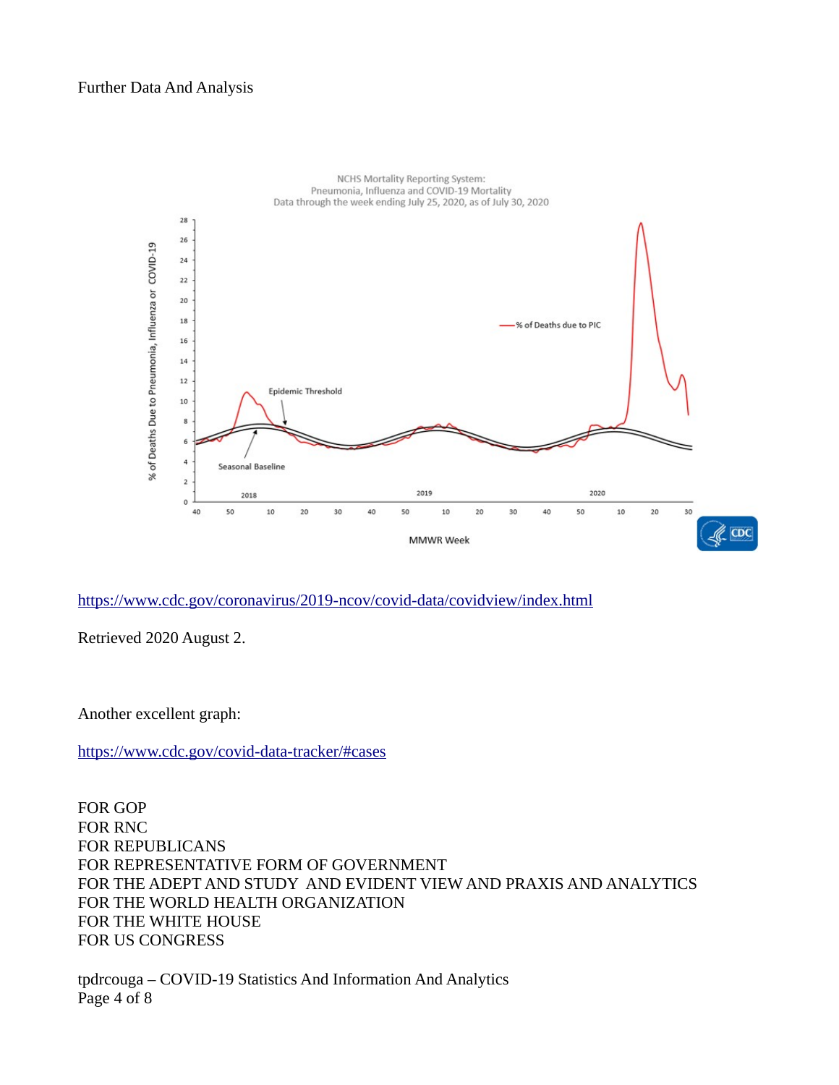#### Further Data And Analysis



#### <https://www.cdc.gov/coronavirus/2019-ncov/covid-data/covidview/index.html>

Retrieved 2020 August 2.

Another excellent graph:

<https://www.cdc.gov/covid-data-tracker/#cases>

FOR GOP FOR RNC FOR REPUBLICANS FOR REPRESENTATIVE FORM OF GOVERNMENT FOR THE ADEPT AND STUDY AND EVIDENT VIEW AND PRAXIS AND ANALYTICS FOR THE WORLD HEALTH ORGANIZATION FOR THE WHITE HOUSE FOR US CONGRESS

tpdrcouga – COVID-19 Statistics And Information And Analytics Page 4 of 8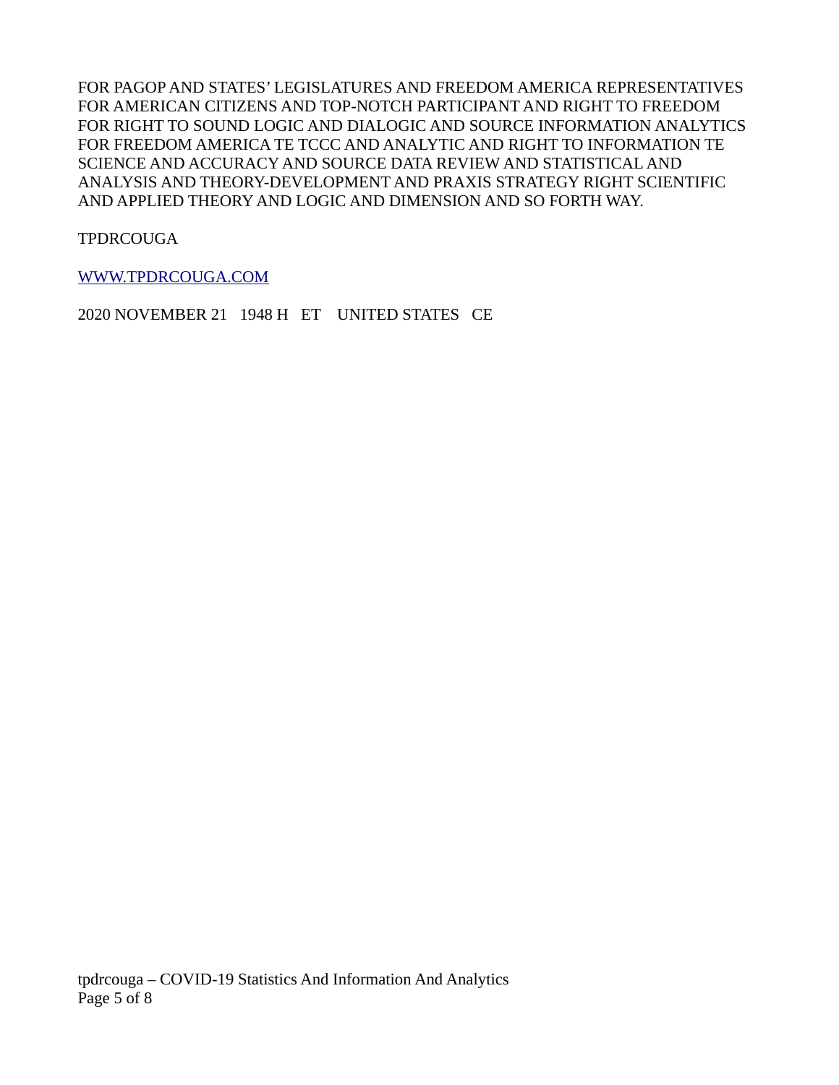FOR PAGOP AND STATES' LEGISLATURES AND FREEDOM AMERICA REPRESENTATIVES FOR AMERICAN CITIZENS AND TOP-NOTCH PARTICIPANT AND RIGHT TO FREEDOM FOR RIGHT TO SOUND LOGIC AND DIALOGIC AND SOURCE INFORMATION ANALYTICS FOR FREEDOM AMERICA TE TCCC AND ANALYTIC AND RIGHT TO INFORMATION TE SCIENCE AND ACCURACY AND SOURCE DATA REVIEW AND STATISTICAL AND ANALYSIS AND THEORY-DEVELOPMENT AND PRAXIS STRATEGY RIGHT SCIENTIFIC AND APPLIED THEORY AND LOGIC AND DIMENSION AND SO FORTH WAY.

TPDRCOUGA

[WWW.TPDRCOUGA.COM](http://WWW.TPDRCOUGA.COM/)

2020 NOVEMBER 21 1948 H ET UNITED STATES CE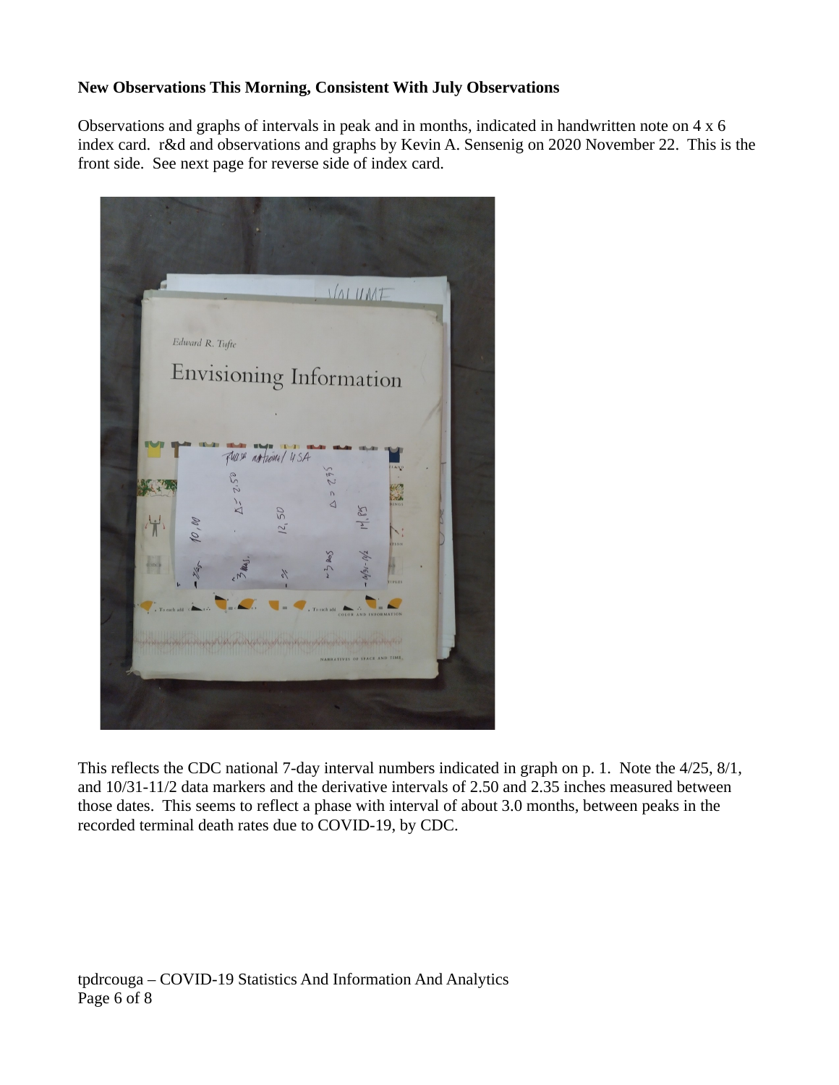## **New Observations This Morning, Consistent With July Observations**

Observations and graphs of intervals in peak and in months, indicated in handwritten note on 4 x 6 index card. r&d and observations and graphs by Kevin A. Sensenig on 2020 November 22. This is the front side. See next page for reverse side of index card.



This reflects the CDC national 7-day interval numbers indicated in graph on p. 1. Note the 4/25, 8/1, and 10/31-11/2 data markers and the derivative intervals of 2.50 and 2.35 inches measured between those dates. This seems to reflect a phase with interval of about 3.0 months, between peaks in the recorded terminal death rates due to COVID-19, by CDC.

tpdrcouga – COVID-19 Statistics And Information And Analytics Page 6 of 8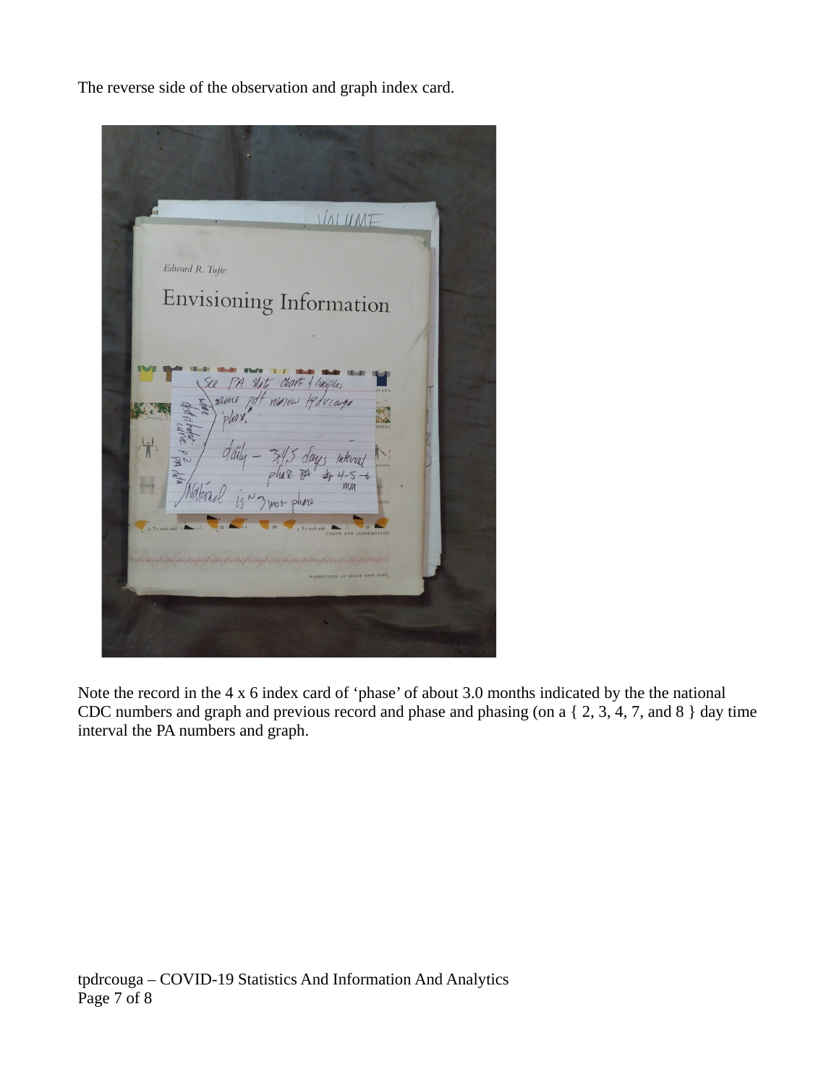The reverse side of the observation and graph index card.

 $1/nIUME$ Edward R. Tufte Envisioning Information  $PA$  $\mathcal{A}_{\ell}$ lUI. same phax

Note the record in the 4 x 6 index card of 'phase' of about 3.0 months indicated by the the national CDC numbers and graph and previous record and phase and phasing (on a { 2, 3, 4, 7, and 8 } day time interval the PA numbers and graph.